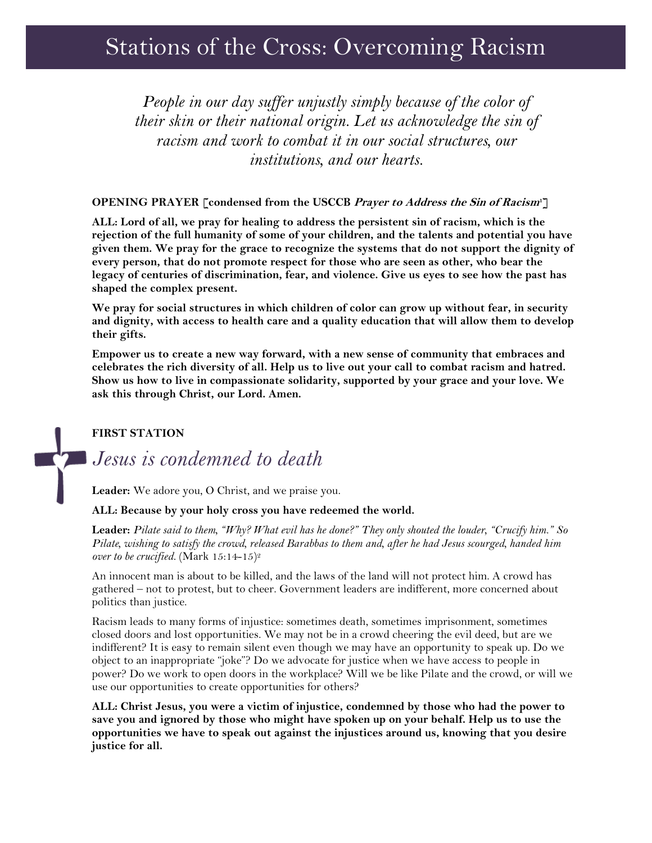# Stations of the Cross: Overcoming Racism

*People in our day suffer unjustly simply because of the color of their skin or their national origin. Let us acknowledge the sin of racism and work to combat it in our social structures, our institutions, and our hearts.*

#### **OPENING PRAYER [condensed from the USCCB Prayer to Address the Sin of Racism<sup>1</sup>]**

**ALL: Lord of all, we pray for healing to address the persistent sin of racism, which is the rejection of the full humanity of some of your children, and the talents and potential you have given them. We pray for the grace to recognize the systems that do not support the dignity of every person, that do not promote respect for those who are seen as other, who bear the legacy of centuries of discrimination, fear, and violence. Give us eyes to see how the past has shaped the complex present.** 

**We pray for social structures in which children of color can grow up without fear, in security and dignity, with access to health care and a quality education that will allow them to develop their gifts.** 

**Empower us to create a new way forward, with a new sense of community that embraces and celebrates the rich diversity of all. Help us to live out your call to combat racism and hatred. Show us how to live in compassionate solidarity, supported by your grace and your love. We ask this through Christ, our Lord. Amen.**

#### **FIRST STATION**

# *Jesus is condemned to death*

**Leader:** We adore you, O Christ, and we praise you.

#### **ALL: Because by your holy cross you have redeemed the world.**

**Leader:** *Pilate said to them, "Why? What evil has he done?" They only shouted the louder, "Crucify him." So Pilate, wishing to satisfy the crowd, released Barabbas to them and, after he had Jesus scourged, handed him over to be crucified.* (Mark 15:14-15)<sup>2</sup>

An innocent man is about to be killed, and the laws of the land will not protect him. A crowd has gathered – not to protest, but to cheer. Government leaders are indifferent, more concerned about politics than justice.

Racism leads to many forms of injustice: sometimes death, sometimes imprisonment, sometimes closed doors and lost opportunities. We may not be in a crowd cheering the evil deed, but are we indifferent? It is easy to remain silent even though we may have an opportunity to speak up. Do we object to an inappropriate "joke"? Do we advocate for justice when we have access to people in power? Do we work to open doors in the workplace? Will we be like Pilate and the crowd, or will we use our opportunities to create opportunities for others?

**ALL: Christ Jesus, you were a victim of injustice, condemned by those who had the power to save you and ignored by those who might have spoken up on your behalf. Help us to use the opportunities we have to speak out against the injustices around us, knowing that you desire justice for all.**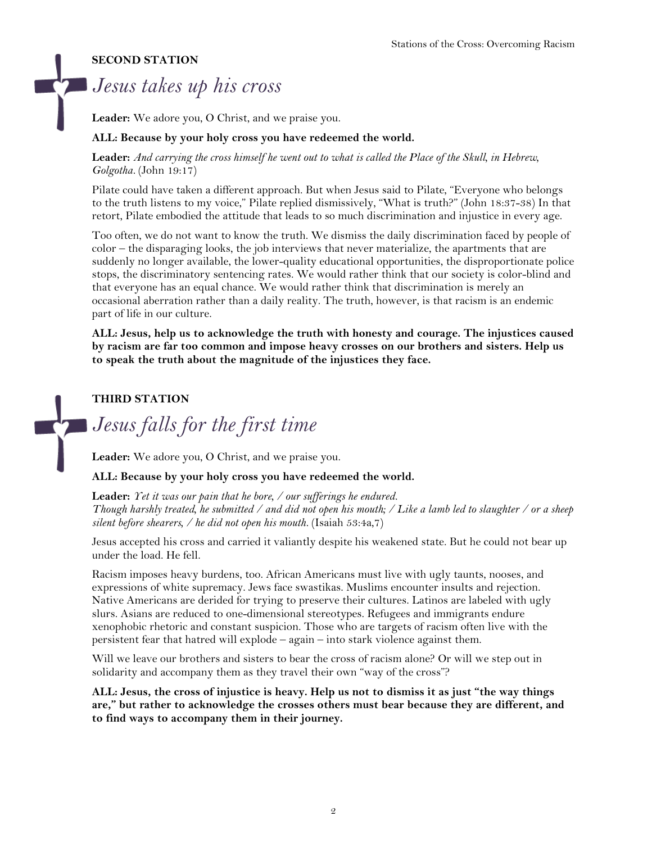#### **SECOND STATION**

# *Jesus takes up his cross*

**Leader:** We adore you, O Christ, and we praise you.

#### **ALL: Because by your holy cross you have redeemed the world.**

**Leader:** *And carrying the cross himself he went out to what is called the Place of the Skull, in Hebrew, Golgotha.* (John 19:17)

Pilate could have taken a different approach. But when Jesus said to Pilate, "Everyone who belongs to the truth listens to my voice," Pilate replied dismissively, "What is truth?" (John 18:37-38) In that retort, Pilate embodied the attitude that leads to so much discrimination and injustice in every age.

Too often, we do not want to know the truth. We dismiss the daily discrimination faced by people of color – the disparaging looks, the job interviews that never materialize, the apartments that are suddenly no longer available, the lower-quality educational opportunities, the disproportionate police stops, the discriminatory sentencing rates. We would rather think that our society is color-blind and that everyone has an equal chance. We would rather think that discrimination is merely an occasional aberration rather than a daily reality. The truth, however, is that racism is an endemic part of life in our culture.

**ALL: Jesus, help us to acknowledge the truth with honesty and courage. The injustices caused by racism are far too common and impose heavy crosses on our brothers and sisters. Help us to speak the truth about the magnitude of the injustices they face.** 

### **THIRD STATION**

*Jesus falls for the first time*

**Leader:** We adore you, O Christ, and we praise you.

#### **ALL: Because by your holy cross you have redeemed the world.**

**Leader:** *Yet it was our pain that he bore, / our sufferings he endured. Though harshly treated, he submitted / and did not open his mouth; / Like a lamb led to slaughter / or a sheep silent before shearers, / he did not open his mouth.* (Isaiah 53:4a,7)

Jesus accepted his cross and carried it valiantly despite his weakened state. But he could not bear up under the load. He fell.

Racism imposes heavy burdens, too. African Americans must live with ugly taunts, nooses, and expressions of white supremacy. Jews face swastikas. Muslims encounter insults and rejection. Native Americans are derided for trying to preserve their cultures. Latinos are labeled with ugly slurs. Asians are reduced to one-dimensional stereotypes. Refugees and immigrants endure xenophobic rhetoric and constant suspicion. Those who are targets of racism often live with the persistent fear that hatred will explode – again – into stark violence against them.

Will we leave our brothers and sisters to bear the cross of racism alone? Or will we step out in solidarity and accompany them as they travel their own "way of the cross"?

**ALL: Jesus, the cross of injustice is heavy. Help us not to dismiss it as just "the way things are," but rather to acknowledge the crosses others must bear because they are different, and to find ways to accompany them in their journey.**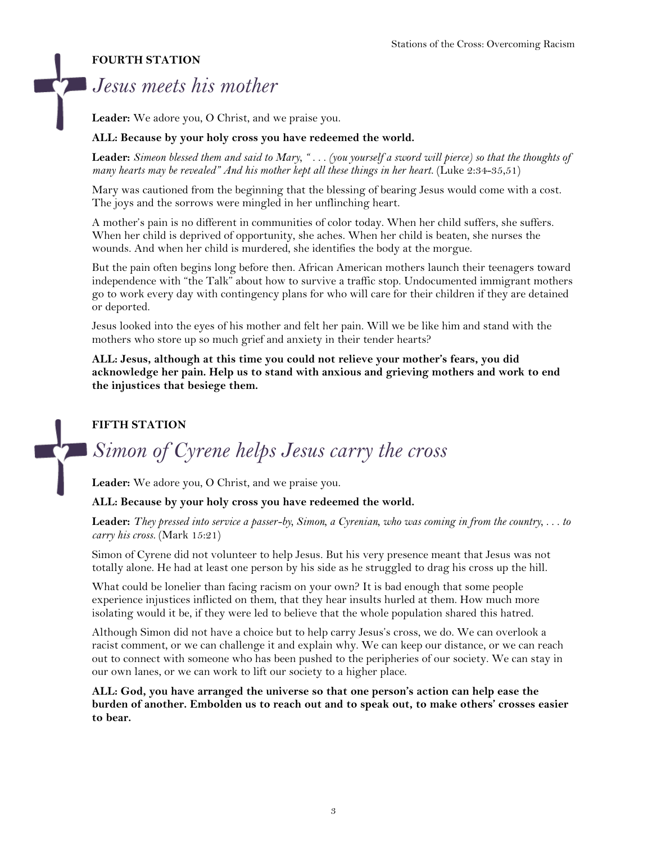### **FOURTH STATION**

# *Jesus meets his mother*

**Leader:** We adore you, O Christ, and we praise you.

#### **ALL: Because by your holy cross you have redeemed the world.**

**Leader:** *Simeon blessed them and said to Mary, " . . . (you yourself a sword will pierce) so that the thoughts of many hearts may be revealed" And his mother kept all these things in her heart.* (Luke 2:34-35,51)

Mary was cautioned from the beginning that the blessing of bearing Jesus would come with a cost. The joys and the sorrows were mingled in her unflinching heart.

A mother's pain is no different in communities of color today. When her child suffers, she suffers. When her child is deprived of opportunity, she aches. When her child is beaten, she nurses the wounds. And when her child is murdered, she identifies the body at the morgue.

But the pain often begins long before then. African American mothers launch their teenagers toward independence with "the Talk" about how to survive a traffic stop. Undocumented immigrant mothers go to work every day with contingency plans for who will care for their children if they are detained or deported.

Jesus looked into the eyes of his mother and felt her pain. Will we be like him and stand with the mothers who store up so much grief and anxiety in their tender hearts?

**ALL: Jesus, although at this time you could not relieve your mother's fears, you did acknowledge her pain. Help us to stand with anxious and grieving mothers and work to end the injustices that besiege them.**

## **FIFTH STATION**

# *Simon of Cyrene helps Jesus carry the cross*

**Leader:** We adore you, O Christ, and we praise you.

#### **ALL: Because by your holy cross you have redeemed the world.**

**Leader:** *They pressed into service a passer-by, Simon, a Cyrenian, who was coming in from the country, . . . to carry his cross.* (Mark 15:21)

Simon of Cyrene did not volunteer to help Jesus. But his very presence meant that Jesus was not totally alone. He had at least one person by his side as he struggled to drag his cross up the hill.

What could be lonelier than facing racism on your own? It is bad enough that some people experience injustices inflicted on them, that they hear insults hurled at them. How much more isolating would it be, if they were led to believe that the whole population shared this hatred.

Although Simon did not have a choice but to help carry Jesus's cross, we do. We can overlook a racist comment, or we can challenge it and explain why. We can keep our distance, or we can reach out to connect with someone who has been pushed to the peripheries of our society. We can stay in our own lanes, or we can work to lift our society to a higher place.

**ALL: God, you have arranged the universe so that one person's action can help ease the burden of another. Embolden us to reach out and to speak out, to make others' crosses easier to bear.**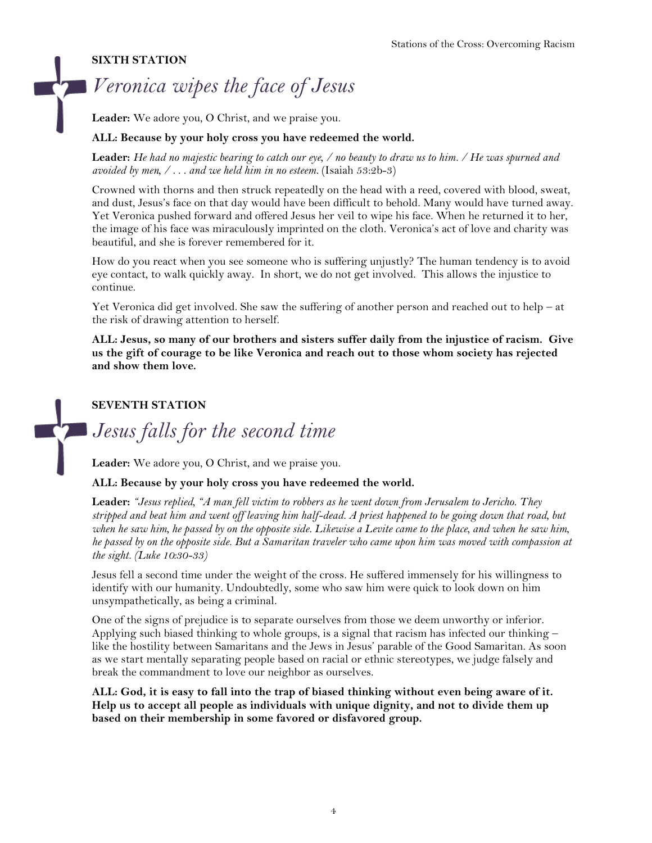## **SIXTH STATION**

# *Veronica wipes the face of Jesus*

**Leader:** We adore you, O Christ, and we praise you.

#### **ALL: Because by your holy cross you have redeemed the world.**

**Leader:** *He had no majestic bearing to catch our eye, / no beauty to draw us to him. / He was spurned and avoided by men, / . . . and we held him in no esteem.* (Isaiah 53:2b-3)

Crowned with thorns and then struck repeatedly on the head with a reed, covered with blood, sweat, and dust, Jesus's face on that day would have been difficult to behold. Many would have turned away. Yet Veronica pushed forward and offered Jesus her veil to wipe his face. When he returned it to her, the image of his face was miraculously imprinted on the cloth. Veronica's act of love and charity was beautiful, and she is forever remembered for it.

How do you react when you see someone who is suffering unjustly? The human tendency is to avoid eye contact, to walk quickly away. In short, we do not get involved. This allows the injustice to continue.

Yet Veronica did get involved. She saw the suffering of another person and reached out to help – at the risk of drawing attention to herself.

**ALL: Jesus, so many of our brothers and sisters suffer daily from the injustice of racism. Give us the gift of courage to be like Veronica and reach out to those whom society has rejected and show them love.**

## **SEVENTH STATION**

*Jesus falls for the second time*

**Leader:** We adore you, O Christ, and we praise you.

#### **ALL: Because by your holy cross you have redeemed the world.**

**Leader:** *"Jesus replied, "A man fell victim to robbers as he went down from Jerusalem to Jericho. They stripped and beat him and went off leaving him half-dead. A priest happened to be going down that road, but*  when he saw him, he passed by on the opposite side. Likewise a Levite came to the place, and when he saw him, *he passed by on the opposite side. But a Samaritan traveler who came upon him was moved with compassion at the sight. (Luke 10:30-33)* 

Jesus fell a second time under the weight of the cross. He suffered immensely for his willingness to identify with our humanity. Undoubtedly, some who saw him were quick to look down on him unsympathetically, as being a criminal.

One of the signs of prejudice is to separate ourselves from those we deem unworthy or inferior. Applying such biased thinking to whole groups, is a signal that racism has infected our thinking – like the hostility between Samaritans and the Jews in Jesus' parable of the Good Samaritan. As soon as we start mentally separating people based on racial or ethnic stereotypes, we judge falsely and break the commandment to love our neighbor as ourselves.

**ALL: God, it is easy to fall into the trap of biased thinking without even being aware of it. Help us to accept all people as individuals with unique dignity, and not to divide them up based on their membership in some favored or disfavored group.**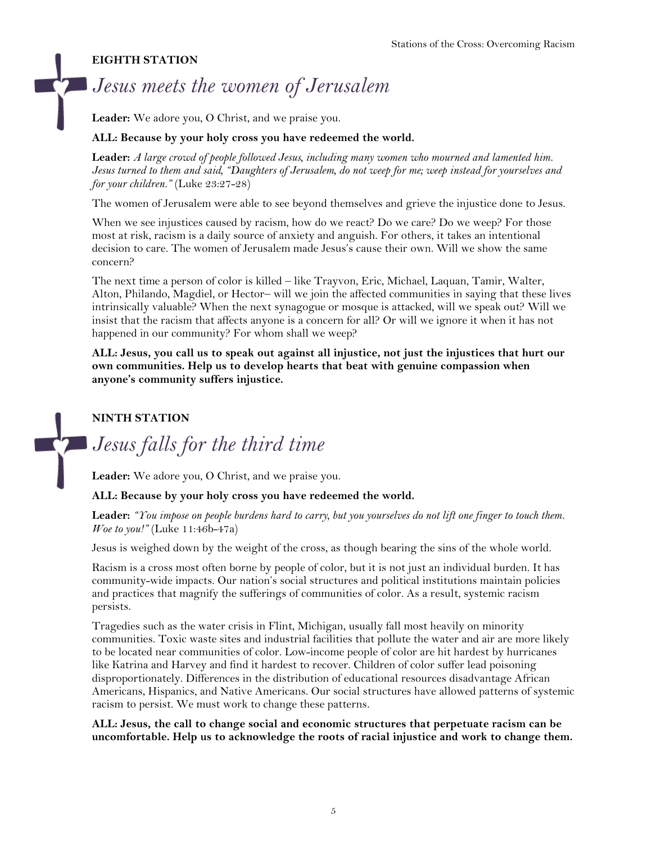#### **EIGHTH STATION**

# *Jesus meets the women of Jerusalem*

**Leader:** We adore you, O Christ, and we praise you.

#### **ALL: Because by your holy cross you have redeemed the world.**

**Leader:** *A large crowd of people followed Jesus, including many women who mourned and lamented him. Jesus turned to them and said, "Daughters of Jerusalem, do not weep for me; weep instead for yourselves and for your children."* (Luke 23:27-28)

The women of Jerusalem were able to see beyond themselves and grieve the injustice done to Jesus.

When we see injustices caused by racism, how do we react? Do we care? Do we weep? For those most at risk, racism is a daily source of anxiety and anguish. For others, it takes an intentional decision to care. The women of Jerusalem made Jesus's cause their own. Will we show the same concern?

The next time a person of color is killed – like Trayvon, Eric, Michael, Laquan, Tamir, Walter, Alton, Philando, Magdiel, or Hector– will we join the affected communities in saying that these lives intrinsically valuable? When the next synagogue or mosque is attacked, will we speak out? Will we insist that the racism that affects anyone is a concern for all? Or will we ignore it when it has not happened in our community? For whom shall we weep?

**ALL: Jesus, you call us to speak out against all injustice, not just the injustices that hurt our own communities. Help us to develop hearts that beat with genuine compassion when anyone's community suffers injustice.**

### **NINTH STATION**

# *Jesus falls for the third time*

**Leader:** We adore you, O Christ, and we praise you.

#### **ALL: Because by your holy cross you have redeemed the world.**

**Leader:** *"You impose on people burdens hard to carry, but you yourselves do not lift one finger to touch them. Woe to you!"* (Luke 11:46b-47a)

Jesus is weighed down by the weight of the cross, as though bearing the sins of the whole world.

Racism is a cross most often borne by people of color, but it is not just an individual burden. It has community-wide impacts. Our nation's social structures and political institutions maintain policies and practices that magnify the sufferings of communities of color. As a result, systemic racism persists.

Tragedies such as the water crisis in Flint, Michigan, usually fall most heavily on minority communities. Toxic waste sites and industrial facilities that pollute the water and air are more likely to be located near communities of color. Low-income people of color are hit hardest by hurricanes like Katrina and Harvey and find it hardest to recover. Children of color suffer lead poisoning disproportionately. Differences in the distribution of educational resources disadvantage African Americans, Hispanics, and Native Americans. Our social structures have allowed patterns of systemic racism to persist. We must work to change these patterns.

**ALL: Jesus, the call to change social and economic structures that perpetuate racism can be uncomfortable. Help us to acknowledge the roots of racial injustice and work to change them.**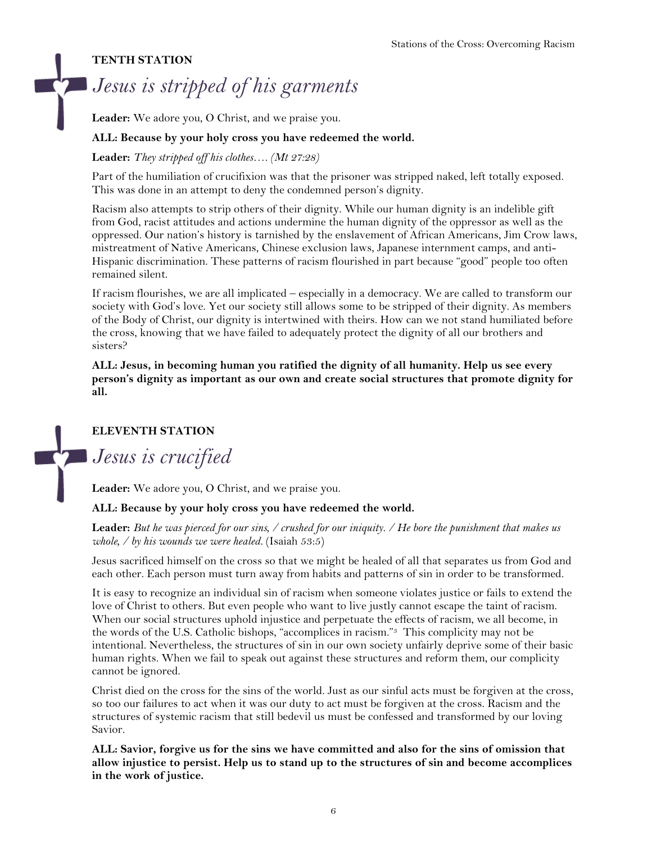#### **TENTH STATION**

# *Jesus is stripped of his garments*

**Leader:** We adore you, O Christ, and we praise you.

#### **ALL: Because by your holy cross you have redeemed the world.**

**Leader:** *They stripped off his clothes…. (Mt 27:28)*

Part of the humiliation of crucifixion was that the prisoner was stripped naked, left totally exposed. This was done in an attempt to deny the condemned person's dignity.

Racism also attempts to strip others of their dignity. While our human dignity is an indelible gift from God, racist attitudes and actions undermine the human dignity of the oppressor as well as the oppressed. Our nation's history is tarnished by the enslavement of African Americans, Jim Crow laws, mistreatment of Native Americans, Chinese exclusion laws, Japanese internment camps, and anti-Hispanic discrimination. These patterns of racism flourished in part because "good" people too often remained silent.

If racism flourishes, we are all implicated – especially in a democracy. We are called to transform our society with God's love. Yet our society still allows some to be stripped of their dignity. As members of the Body of Christ, our dignity is intertwined with theirs. How can we not stand humiliated before the cross, knowing that we have failed to adequately protect the dignity of all our brothers and sisters?

**ALL: Jesus, in becoming human you ratified the dignity of all humanity. Help us see every person's dignity as important as our own and create social structures that promote dignity for all.**

## **ELEVENTH STATION**

*Jesus is crucified*

**Leader:** We adore you, O Christ, and we praise you.

#### **ALL: Because by your holy cross you have redeemed the world.**

**Leader:** *But he was pierced for our sins, / crushed for our iniquity. / He bore the punishment that makes us whole, / by his wounds we were healed.* (Isaiah 53:5)

Jesus sacrificed himself on the cross so that we might be healed of all that separates us from God and each other. Each person must turn away from habits and patterns of sin in order to be transformed.

It is easy to recognize an individual sin of racism when someone violates justice or fails to extend the love of Christ to others. But even people who want to live justly cannot escape the taint of racism. When our social structures uphold injustice and perpetuate the effects of racism, we all become, in the words of the U.S. Catholic bishops, "accomplices in racism."3 This complicity may not be intentional. Nevertheless, the structures of sin in our own society unfairly deprive some of their basic human rights. When we fail to speak out against these structures and reform them, our complicity cannot be ignored.

Christ died on the cross for the sins of the world. Just as our sinful acts must be forgiven at the cross, so too our failures to act when it was our duty to act must be forgiven at the cross. Racism and the structures of systemic racism that still bedevil us must be confessed and transformed by our loving Savior.

**ALL: Savior, forgive us for the sins we have committed and also for the sins of omission that allow injustice to persist. Help us to stand up to the structures of sin and become accomplices in the work of justice.**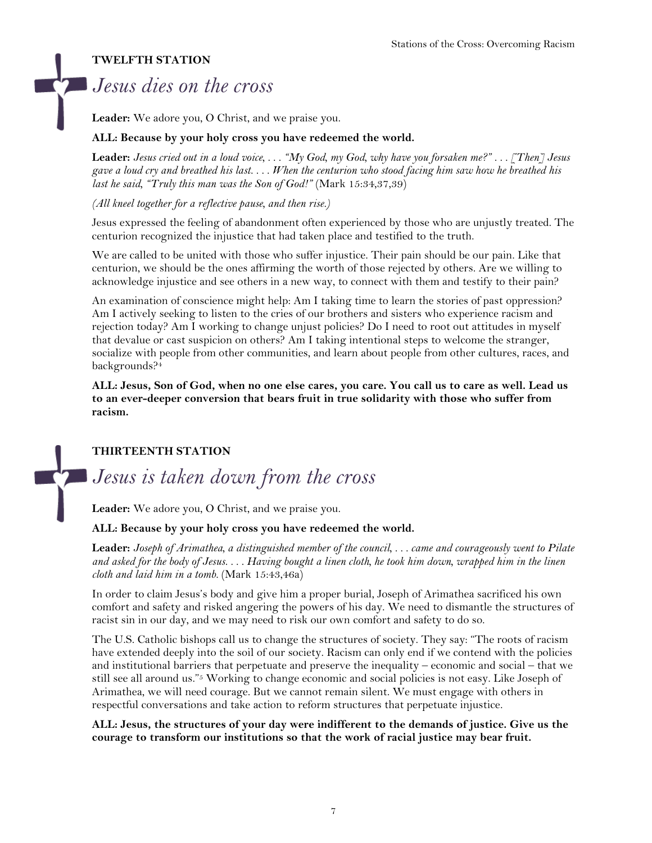## **TWELFTH STATION**

# *Jesus dies on the cross*

**Leader:** We adore you, O Christ, and we praise you.

### **ALL: Because by your holy cross you have redeemed the world.**

**Leader:** *Jesus cried out in a loud voice, . . . "My God, my God, why have you forsaken me?" . . . [Then] Jesus gave a loud cry and breathed his last. . . . When the centurion who stood facing him saw how he breathed his last he said, "Truly this man was the Son of God!"* (Mark 15:34,37,39)

*(All kneel together for a reflective pause, and then rise.)* 

Jesus expressed the feeling of abandonment often experienced by those who are unjustly treated. The centurion recognized the injustice that had taken place and testified to the truth.

We are called to be united with those who suffer injustice. Their pain should be our pain. Like that centurion, we should be the ones affirming the worth of those rejected by others. Are we willing to acknowledge injustice and see others in a new way, to connect with them and testify to their pain?

An examination of conscience might help: Am I taking time to learn the stories of past oppression? Am I actively seeking to listen to the cries of our brothers and sisters who experience racism and rejection today? Am I working to change unjust policies? Do I need to root out attitudes in myself that devalue or cast suspicion on others? Am I taking intentional steps to welcome the stranger, socialize with people from other communities, and learn about people from other cultures, races, and backgrounds? 4

**ALL: Jesus, Son of God, when no one else cares, you care. You call us to care as well. Lead us to an ever-deeper conversion that bears fruit in true solidarity with those who suffer from racism.**

## **THIRTEENTH STATION**

# *Jesus is taken down from the cross*

**Leader:** We adore you, O Christ, and we praise you.

#### **ALL: Because by your holy cross you have redeemed the world.**

**Leader:** *Joseph of Arimathea, a distinguished member of the council, . . . came and courageously went to Pilate and asked for the body of Jesus. . . . Having bought a linen cloth, he took him down, wrapped him in the linen cloth and laid him in a tomb.* (Mark 15:43,46a)

In order to claim Jesus's body and give him a proper burial, Joseph of Arimathea sacrificed his own comfort and safety and risked angering the powers of his day. We need to dismantle the structures of racist sin in our day, and we may need to risk our own comfort and safety to do so.

The U.S. Catholic bishops call us to change the structures of society. They say: "The roots of racism have extended deeply into the soil of our society. Racism can only end if we contend with the policies and institutional barriers that perpetuate and preserve the inequality – economic and social – that we still see all around us."<sup>5</sup> Working to change economic and social policies is not easy. Like Joseph of Arimathea, we will need courage. But we cannot remain silent. We must engage with others in respectful conversations and take action to reform structures that perpetuate injustice.

#### **ALL: Jesus, the structures of your day were indifferent to the demands of justice. Give us the courage to transform our institutions so that the work of racial justice may bear fruit.**